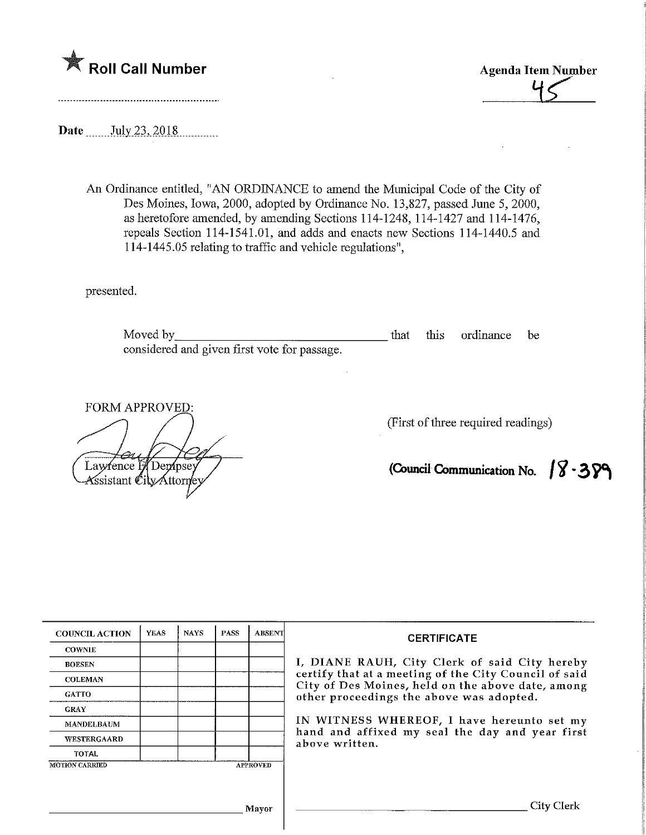

**Agenda Item Number** 

Date \_\_\_\_\_\_ July 23, 2018

An Ordinance entitled, "AN ORDINANCE to amend the Municipal Code of the City of Des Moines, Iowa, 2000, adopted by Ordinance No. 13,827, passed June 5, 2000, as heretofore amended, by amending Sections 114-1248, 114-1427 and 114-1476, repeals Section 114-1541.01, and adds and enacts new Sections 114-1440.5 and 114-1445.05 relating to traffic and vehicle regulations",

presented.

Moved by\_ considered and given first vote for passage. that this ordinance be

FORM APPROVED:

Lawrence H Dempsey Assistant CityAttome (First of three required readings)

(Council Communication No.  $\sqrt{8} \cdot 3$   $\sqrt{9}$ 

| <b>COUNCIL ACTION</b>                    | <b>YEAS</b> | <b>NAYS</b> | <b>PASS</b> | <b>ABSENT</b> | <b>CERTIFICATE</b><br>I, DIANE RAUH, City Clerk of said City hereby<br>certify that at a meeting of the City Council of said<br>City of Des Moines, held on the above date, among<br>other proceedings the above was adopted. |  |  |
|------------------------------------------|-------------|-------------|-------------|---------------|-------------------------------------------------------------------------------------------------------------------------------------------------------------------------------------------------------------------------------|--|--|
| <b>COWNIE</b>                            |             |             |             |               |                                                                                                                                                                                                                               |  |  |
| <b>BOESEN</b>                            |             |             |             |               |                                                                                                                                                                                                                               |  |  |
| <b>COLEMAN</b>                           |             |             |             |               |                                                                                                                                                                                                                               |  |  |
| <b>GATTO</b>                             |             |             |             |               |                                                                                                                                                                                                                               |  |  |
| <b>GRAY</b>                              |             |             |             |               |                                                                                                                                                                                                                               |  |  |
| <b>MANDELBAUM</b>                        |             |             |             |               | IN WITNESS WHEREOF, I have hereunto set my<br>hand and affixed my seal the day and year first<br>above written.                                                                                                               |  |  |
| <b>WESTERGAARD</b>                       |             |             |             |               |                                                                                                                                                                                                                               |  |  |
| <b>TOTAL</b>                             |             |             |             |               |                                                                                                                                                                                                                               |  |  |
| <b>MOTION CARRIED</b><br><b>APPROVED</b> |             |             |             |               |                                                                                                                                                                                                                               |  |  |
|                                          |             |             |             |               |                                                                                                                                                                                                                               |  |  |
| <b>Mayor</b>                             |             |             |             |               | City Cleri                                                                                                                                                                                                                    |  |  |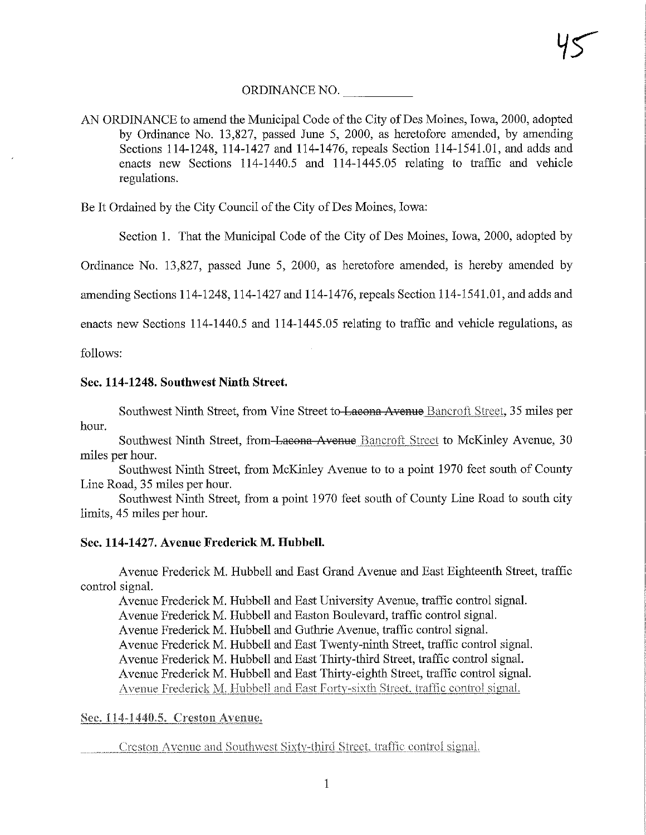# ORDINANCE NO.

AN ORDINANCE to amend the Municipal Code of the City of Des Moines, Iowa, 2000, adopted by Ordinance No. 13,827, passed June 5, 2000, as heretofore amended, by amending Sections 114-1248, 114-1427 and 114-1476, repeals Section 114-1541.01, and adds and enacts new Sections 114-1440.5 and 114-1445.05 relating to traffic and vehicle regulations.

Be It Ordained by the City Council of the City of Des Moines, Iowa:

Section 1. That the Municipal Code of the City of Des Moines, Iowa, 2000, adopted by

Ordinance No. 13,827, passed June 5, 2000, as heretofore amended, is hereby amended by

amending Sections 114-1248,114-1427 and 114-1476, repeals Section 114-1541.01, and adds and

enacts new Sections 114-1440.5 and 114-1445.05 relating to traffic and vehicle regulations, as

follows:

## Sec. 114-1248. Southwest Ninth Street.

Southwest Ninth Street, from Vine Street to Lacona Avenue Bancroft Street, 35 miles per hour.

Southwest Ninth Street, from Lacona Avenue Bancroft Street to McKinley Avenue, 30 miles per hour.

Southwest Ninth Street, from McKinley Avenue to to a point 1970 feet south of County Line Road, 35 miles per hour.

Southwest Ninth Street, from a point 1970 feet south of County Line Road to south city limits, 45 miles per hour.

## Sec. 114-1427. Avenue Frederick M. Hubbell.

Avenue Frederick M. Hubbell and East Grand Avenue and East Eighteenth Street, traffic control signal.

Avenue Frederick M. Hubbell and East University Avenue, traffic control signal.

Avenue Frederick M. Hubbell and Easton Boulevard, traffic control signal.

Avenue Frederick M. Hubbell and Guthrie Avenue, traffic control signal.

Avenue Frederick M. Hubbell and East Twenty-ninth Street, traffic control signal.

Avenue Frederick M. Hubbell and East Thirty-third Street, traffic control signal.

Avenue Frederick M. Hubbell and East Thirty-eighth Street, traffic control signal.

Avenue Frederick M. Hubbell and East Forty-sixth Street, traffic control signal.

## Sec. 114-1440.5. Creston Avenue.

Creston Avenue and Soudiwcsi Sixlv-third Street, traffic control signal,